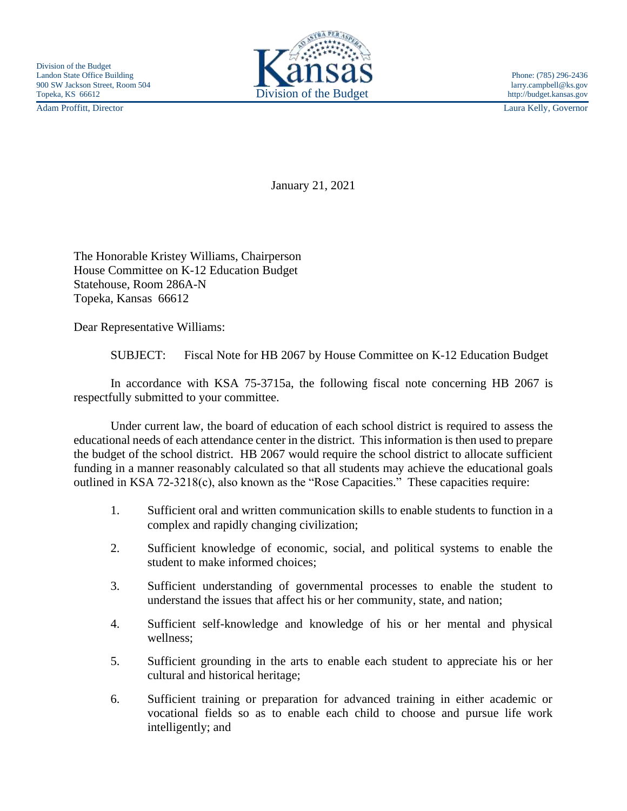Adam Proffitt, Director Laura Kelly, Governor



January 21, 2021

The Honorable Kristey Williams, Chairperson House Committee on K-12 Education Budget Statehouse, Room 286A-N Topeka, Kansas 66612

Dear Representative Williams:

SUBJECT: Fiscal Note for HB 2067 by House Committee on K-12 Education Budget

In accordance with KSA 75-3715a, the following fiscal note concerning HB 2067 is respectfully submitted to your committee.

Under current law, the board of education of each school district is required to assess the educational needs of each attendance center in the district. This information is then used to prepare the budget of the school district. HB 2067 would require the school district to allocate sufficient funding in a manner reasonably calculated so that all students may achieve the educational goals outlined in KSA 72-3218(c), also known as the "Rose Capacities." These capacities require:

- 1. Sufficient oral and written communication skills to enable students to function in a complex and rapidly changing civilization;
- 2. Sufficient knowledge of economic, social, and political systems to enable the student to make informed choices;
- 3. Sufficient understanding of governmental processes to enable the student to understand the issues that affect his or her community, state, and nation;
- 4. Sufficient self-knowledge and knowledge of his or her mental and physical wellness;
- 5. Sufficient grounding in the arts to enable each student to appreciate his or her cultural and historical heritage;
- 6. Sufficient training or preparation for advanced training in either academic or vocational fields so as to enable each child to choose and pursue life work intelligently; and